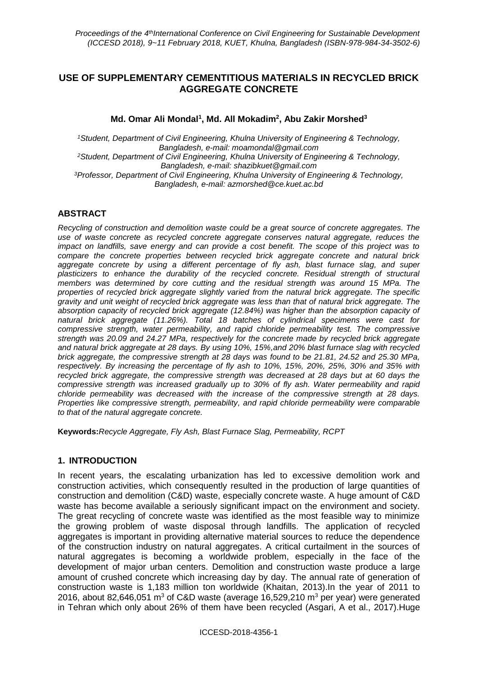# **USE OF SUPPLEMENTARY CEMENTITIOUS MATERIALS IN RECYCLED BRICK AGGREGATE CONCRETE**

**Md. Omar Ali Mondal<sup>1</sup> , Md. All Mokadim<sup>2</sup> , Abu Zakir Morshed<sup>3</sup>**

*<sup>1</sup>Student, Department of Civil Engineering, Khulna University of Engineering & Technology, Bangladesh, e-mail: moamondal@gmail.com <sup>2</sup>Student, Department of Civil Engineering, Khulna University of Engineering & Technology, Bangladesh, e-mail: shazibkuet@gmail.com <sup>3</sup>Professor, Department of Civil Engineering, Khulna University of Engineering & Technology, Bangladesh, e-mail: azmorshed@ce.kuet.ac.bd*

# **ABSTRACT**

*Recycling of construction and demolition waste could be a great source of concrete aggregates. The use of waste concrete as recycled concrete aggregate conserves natural aggregate, reduces the impact on landfills, save energy and can provide a cost benefit. The scope of this project was to compare the concrete properties between recycled brick aggregate concrete and natural brick aggregate concrete by using a different percentage of fly ash, blast furnace slag, and super plasticizers to enhance the durability of the recycled concrete. Residual strength of structural members was determined by core cutting and the residual strength was around 15 MPa. The properties of recycled brick aggregate slightly varied from the natural brick aggregate. The specific gravity and unit weight of recycled brick aggregate was less than that of natural brick aggregate. The absorption capacity of recycled brick aggregate (12.84%) was higher than the absorption capacity of natural brick aggregate (11.26%). Total 18 batches of cylindrical specimens were cast for compressive strength, water permeability, and rapid chloride permeability test. The compressive strength was 20.09 and 24.27 MPa, respectively for the concrete made by recycled brick aggregate and natural brick aggregate at 28 days. By using 10%, 15%,and 20% blast furnace slag with recycled brick aggregate, the compressive strength at 28 days was found to be 21.81, 24.52 and 25.30 MPa, respectively. By increasing the percentage of fly ash to 10%, 15%, 20%, 25%, 30% and 35% with recycled brick aggregate, the compressive strength was decreased at 28 days but at 60 days the compressive strength was increased gradually up to 30% of fly ash. Water permeability and rapid chloride permeability was decreased with the increase of the compressive strength at 28 days. Properties like compressive strength, permeability, and rapid chloride permeability were comparable to that of the natural aggregate concrete.*

**Keywords:***Recycle Aggregate, Fly Ash, Blast Furnace Slag, Permeability, RCPT*

### **1. INTRODUCTION**

In recent years, the escalating urbanization has led to excessive demolition work and construction activities, which consequently resulted in the production of large quantities of construction and demolition (C&D) waste, especially concrete waste. A huge amount of C&D waste has become available a seriously significant impact on the environment and society. The great recycling of concrete waste was identified as the most feasible way to minimize the growing problem of waste disposal through landfills. The application of recycled aggregates is important in providing alternative material sources to reduce the dependence of the construction industry on natural aggregates. A critical curtailment in the sources of natural aggregates is becoming a worldwide problem, especially in the face of the development of major urban centers. Demolition and construction waste produce a large amount of crushed concrete which increasing day by day. The annual rate of generation of construction waste is 1,183 million ton worldwide (Khaitan, 2013).In the year of 2011 to 2016, about 82,646,051 m<sup>3</sup> of C&D waste (average 16,529,210 m<sup>3</sup> per year) were generated in Tehran which only about 26% of them have been recycled (Asgari, A et al., 2017).Huge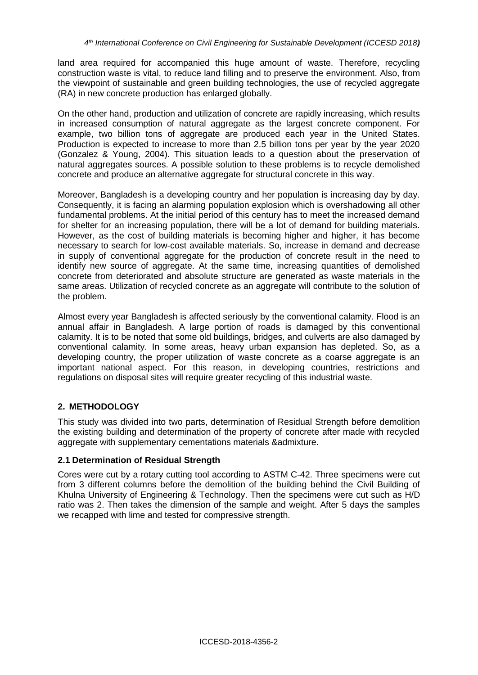land area required for accompanied this huge amount of waste. Therefore, recycling construction waste is vital, to reduce land filling and to preserve the environment. Also, from the viewpoint of sustainable and green building technologies, the use of recycled aggregate (RA) in new concrete production has enlarged globally.

On the other hand, production and utilization of concrete are rapidly increasing, which results in increased consumption of natural aggregate as the largest concrete component. For example, two billion tons of aggregate are produced each year in the United States. Production is expected to increase to more than 2.5 billion tons per year by the year 2020 (Gonzalez & Young, 2004). This situation leads to a question about the preservation of natural aggregates sources. A possible solution to these problems is to recycle demolished concrete and produce an alternative aggregate for structural concrete in this way.

Moreover, Bangladesh is a developing country and her population is increasing day by day. Consequently, it is facing an alarming population explosion which is overshadowing all other fundamental problems. At the initial period of this century has to meet the increased demand for shelter for an increasing population, there will be a lot of demand for building materials. However, as the cost of building materials is becoming higher and higher, it has become necessary to search for low-cost available materials. So, increase in demand and decrease in supply of conventional aggregate for the production of concrete result in the need to identify new source of aggregate. At the same time, increasing quantities of demolished concrete from deteriorated and absolute structure are generated as waste materials in the same areas. Utilization of recycled concrete as an aggregate will contribute to the solution of the problem.

Almost every year Bangladesh is affected seriously by the conventional calamity. Flood is an annual affair in Bangladesh. A large portion of roads is damaged by this conventional calamity. It is to be noted that some old buildings, bridges, and culverts are also damaged by conventional calamity. In some areas, heavy urban expansion has depleted. So, as a developing country, the proper utilization of waste concrete as a coarse aggregate is an important national aspect. For this reason, in developing countries, restrictions and regulations on disposal sites will require greater recycling of this industrial waste.

# **2. METHODOLOGY**

This study was divided into two parts, determination of Residual Strength before demolition the existing building and determination of the property of concrete after made with recycled aggregate with supplementary cementations materials &admixture.

# **2.1 Determination of Residual Strength**

Cores were cut by a rotary cutting tool according to ASTM C-42. Three specimens were cut from 3 different columns before the demolition of the building behind the Civil Building of Khulna University of Engineering & Technology. Then the specimens were cut such as H/D ratio was 2. Then takes the dimension of the sample and weight. After 5 days the samples we recapped with lime and tested for compressive strength.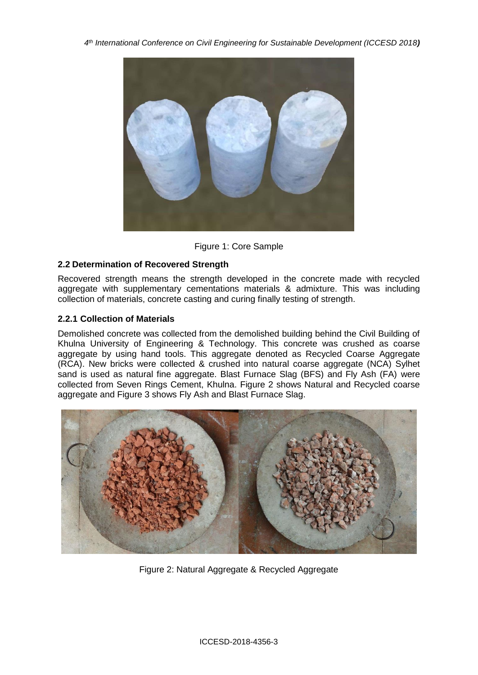*4 th International Conference on Civil Engineering for Sustainable Development (ICCESD 2018)*



Figure 1: Core Sample

# **2.2 Determination of Recovered Strength**

Recovered strength means the strength developed in the concrete made with recycled aggregate with supplementary cementations materials & admixture. This was including collection of materials, concrete casting and curing finally testing of strength.

# **2.2.1 Collection of Materials**

Demolished concrete was collected from the demolished building behind the Civil Building of Khulna University of Engineering & Technology. This concrete was crushed as coarse aggregate by using hand tools. This aggregate denoted as Recycled Coarse Aggregate (RCA). New bricks were collected & crushed into natural coarse aggregate (NCA) Sylhet sand is used as natural fine aggregate. Blast Furnace Slag (BFS) and Fly Ash (FA) were collected from Seven Rings Cement, Khulna. Figure 2 shows Natural and Recycled coarse aggregate and Figure 3 shows Fly Ash and Blast Furnace Slag.



Figure 2: Natural Aggregate & Recycled Aggregate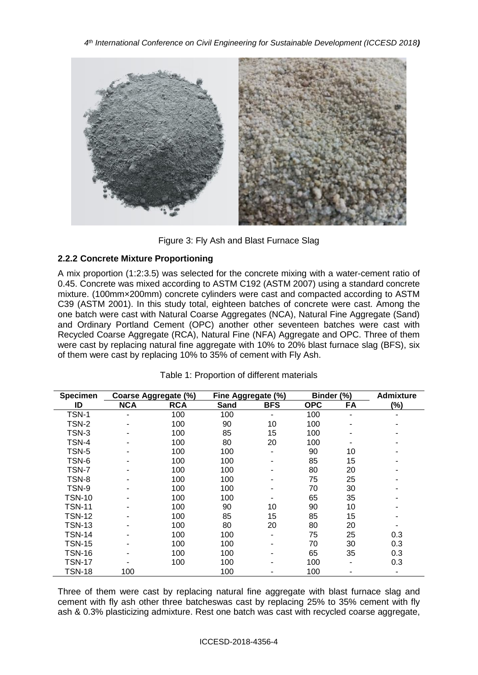*4 th International Conference on Civil Engineering for Sustainable Development (ICCESD 2018)*



Figure 3: Fly Ash and Blast Furnace Slag

# **2.2.2 Concrete Mixture Proportioning**

A mix proportion (1:2:3.5) was selected for the concrete mixing with a water-cement ratio of 0.45. Concrete was mixed according to ASTM C192 (ASTM 2007) using a standard concrete mixture. (100mm×200mm) concrete cylinders were cast and compacted according to ASTM C39 (ASTM 2001). In this study total, eighteen batches of concrete were cast. Among the one batch were cast with Natural Coarse Aggregates (NCA), Natural Fine Aggregate (Sand) and Ordinary Portland Cement (OPC) another other seventeen batches were cast with Recycled Coarse Aggregate (RCA), Natural Fine (NFA) Aggregate and OPC. Three of them were cast by replacing natural fine aggregate with 10% to 20% blast furnace slag (BFS), six of them were cast by replacing 10% to 35% of cement with Fly Ash.

| <b>Specimen</b><br>Coarse Aggregate (%) |            |            | Fine Aggregate (%) |            | Binder (%) |    | <b>Admixture</b> |
|-----------------------------------------|------------|------------|--------------------|------------|------------|----|------------------|
| ID                                      | <b>NCA</b> | <b>RCA</b> | Sand               | <b>BFS</b> | <b>OPC</b> | FA | (%)              |
| TSN-1                                   |            | 100        | 100                |            | 100        |    |                  |
| TSN-2                                   |            | 100        | 90                 | 10         | 100        |    |                  |
| TSN-3                                   |            | 100        | 85                 | 15         | 100        |    |                  |
| TSN-4                                   |            | 100        | 80                 | 20         | 100        |    |                  |
| TSN-5                                   |            | 100        | 100                | ٠          | 90         | 10 |                  |
| TSN-6                                   |            | 100        | 100                |            | 85         | 15 |                  |
| TSN-7                                   |            | 100        | 100                |            | 80         | 20 |                  |
| TSN-8                                   |            | 100        | 100                |            | 75         | 25 |                  |
| TSN-9                                   |            | 100        | 100                |            | 70         | 30 |                  |
| TSN-10                                  |            | 100        | 100                |            | 65         | 35 |                  |
| <b>TSN-11</b>                           |            | 100        | 90                 | 10         | 90         | 10 |                  |
| <b>TSN-12</b>                           |            | 100        | 85                 | 15         | 85         | 15 |                  |
| <b>TSN-13</b>                           |            | 100        | 80                 | 20         | 80         | 20 |                  |
| <b>TSN-14</b>                           |            | 100        | 100                |            | 75         | 25 | 0.3              |
| <b>TSN-15</b>                           |            | 100        | 100                |            | 70         | 30 | 0.3              |
| <b>TSN-16</b>                           |            | 100        | 100                |            | 65         | 35 | 0.3              |
| TSN-17                                  |            | 100        | 100                |            | 100        |    | 0.3              |
| <b>TSN-18</b>                           | 100        |            | 100                |            | 100        |    |                  |

# Table 1: Proportion of different materials

Three of them were cast by replacing natural fine aggregate with blast furnace slag and cement with fly ash other three batcheswas cast by replacing 25% to 35% cement with fly ash & 0.3% plasticizing admixture. Rest one batch was cast with recycled coarse aggregate,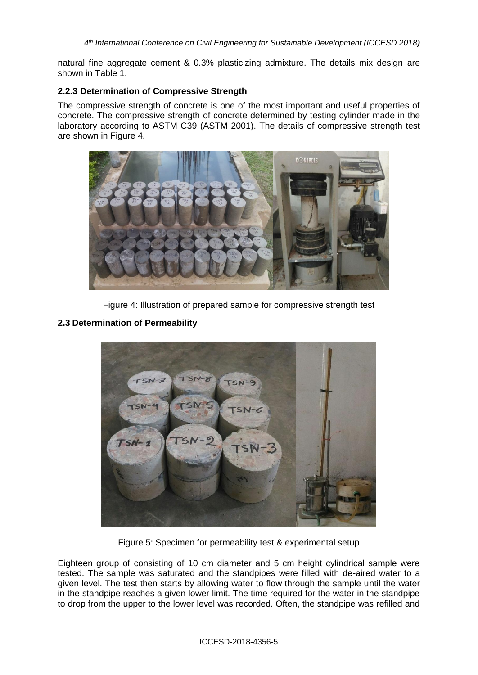natural fine aggregate cement & 0.3% plasticizing admixture. The details mix design are shown in Table 1.

#### **2.2.3 Determination of Compressive Strength**

The compressive strength of concrete is one of the most important and useful properties of concrete. The compressive strength of concrete determined by testing cylinder made in the laboratory according to ASTM C39 (ASTM 2001). The details of compressive strength test are shown in Figure 4.



Figure 4: Illustration of prepared sample for compressive strength test



#### **2.3 Determination of Permeability**

Figure 5: Specimen for permeability test & experimental setup

Eighteen group of consisting of 10 cm diameter and 5 cm height cylindrical sample were tested. The sample was saturated and the standpipes were filled with de-aired water to a given level. The test then starts by allowing water to flow through the sample until the water in the standpipe reaches a given lower limit. The time required for the water in the standpipe to drop from the upper to the lower level was recorded. Often, the standpipe was refilled and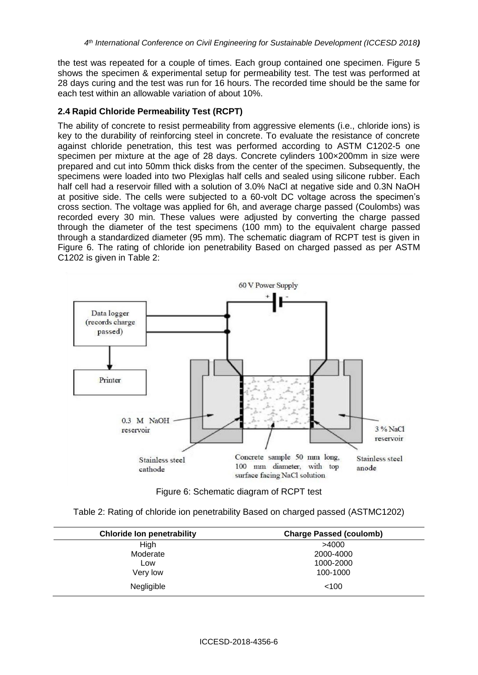the test was repeated for a couple of times. Each group contained one specimen. Figure 5 shows the specimen & experimental setup for permeability test. The test was performed at 28 days curing and the test was run for 16 hours. The recorded time should be the same for each test within an allowable variation of about 10%.

### **2.4 Rapid Chloride Permeability Test (RCPT)**

The ability of concrete to resist permeability from aggressive elements (i.e., chloride ions) is key to the durability of reinforcing steel in concrete. To evaluate the resistance of concrete against chloride penetration, this test was performed according to ASTM C1202-5 one specimen per mixture at the age of 28 days. Concrete cylinders 100×200mm in size were prepared and cut into 50mm thick disks from the center of the specimen. Subsequently, the specimens were loaded into two Plexiglas half cells and sealed using silicone rubber. Each half cell had a reservoir filled with a solution of 3.0% NaCl at negative side and 0.3N NaOH at positive side. The cells were subjected to a 60-volt DC voltage across the specimen's cross section. The voltage was applied for 6h, and average charge passed (Coulombs) was recorded every 30 min. These values were adjusted by converting the charge passed through the diameter of the test specimens (100 mm) to the equivalent charge passed through a standardized diameter (95 mm). The schematic diagram of RCPT test is given in Figure 6. The rating of chloride ion penetrability Based on charged passed as per ASTM C1202 is given in Table 2:



Figure 6: Schematic diagram of RCPT test

|  |  | Table 2: Rating of chloride ion penetrability Based on charged passed (ASTMC1202) |  |  |  |
|--|--|-----------------------------------------------------------------------------------|--|--|--|
|--|--|-----------------------------------------------------------------------------------|--|--|--|

| <b>Chloride Ion penetrability</b> | <b>Charge Passed (coulomb)</b> |
|-----------------------------------|--------------------------------|
| High                              | >4000                          |
| Moderate                          | 2000-4000                      |
| Low                               | 1000-2000                      |
| Very low                          | 100-1000                       |
| Negligible                        | < 100                          |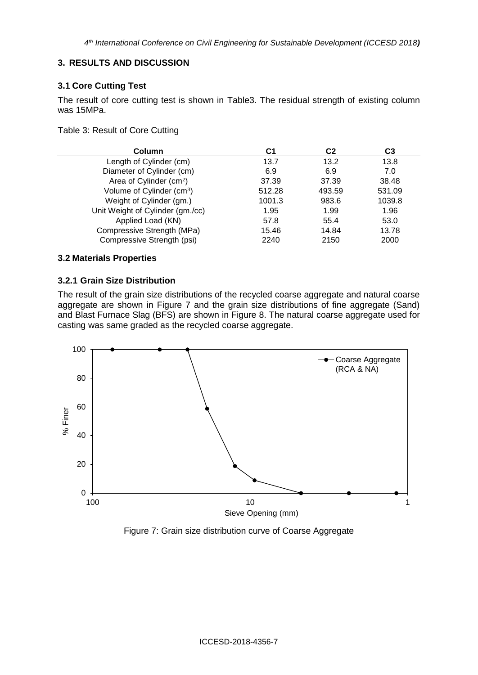### **3. RESULTS AND DISCUSSION**

### **3.1 Core Cutting Test**

The result of core cutting test is shown in Table3. The residual strength of existing column was 15MPa.

#### Table 3: Result of Core Cutting

| Column                                | C1     | C <sub>2</sub> | C3     |
|---------------------------------------|--------|----------------|--------|
| Length of Cylinder (cm)               | 13.7   | 13.2           | 13.8   |
| Diameter of Cylinder (cm)             | 6.9    | 6.9            | 7.0    |
| Area of Cylinder (cm <sup>2</sup> )   | 37.39  | 37.39          | 38.48  |
| Volume of Cylinder (cm <sup>3</sup> ) | 512.28 | 493.59         | 531.09 |
| Weight of Cylinder (gm.)              | 1001.3 | 983.6          | 1039.8 |
| Unit Weight of Cylinder (gm./cc)      | 1.95   | 1.99           | 1.96   |
| Applied Load (KN)                     | 57.8   | 55.4           | 53.0   |
| Compressive Strength (MPa)            | 15.46  | 14.84          | 13.78  |
| Compressive Strength (psi)            | 2240   | 2150           | 2000   |

# **3.2 Materials Properties**

### **3.2.1 Grain Size Distribution**

The result of the grain size distributions of the recycled coarse aggregate and natural coarse aggregate are shown in Figure 7 and the grain size distributions of fine aggregate (Sand) and Blast Furnace Slag (BFS) are shown in Figure 8. The natural coarse aggregate used for casting was same graded as the recycled coarse aggregate.



Figure 7: Grain size distribution curve of Coarse Aggregate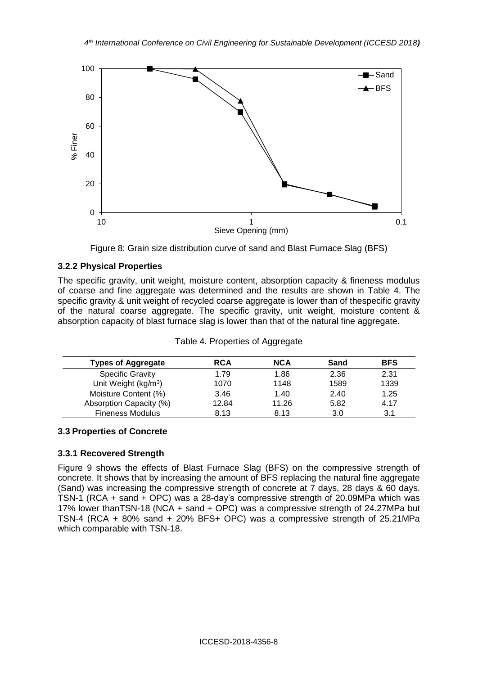

Figure 8: Grain size distribution curve of sand and Blast Furnace Slag (BFS)

# **3.2.2 Physical Properties**

The specific gravity, unit weight, moisture content, absorption capacity & fineness modulus of coarse and fine aggregate was determined and the results are shown in Table 4. The specific gravity & unit weight of recycled coarse aggregate is lower than of thespecific gravity of the natural coarse aggregate. The specific gravity, unit weight, moisture content & absorption capacity of blast furnace slag is lower than that of the natural fine aggregate.

| <b>Types of Aggregate</b>        | <b>RCA</b> | <b>NCA</b> | Sand | <b>BFS</b> |
|----------------------------------|------------|------------|------|------------|
| <b>Specific Gravity</b>          | 1.79       | 1.86       | 2.36 | 2.31       |
| Unit Weight (kg/m <sup>3</sup> ) | 1070       | 1148       | 1589 | 1339       |
| Moisture Content (%)             | 3.46       | 1.40       | 2.40 | 1.25       |
| Absorption Capacity (%)          | 12.84      | 11.26      | 5.82 | 4.17       |
| <b>Fineness Modulus</b>          | 8.13       | 8.13       | 3.0  | 3.1        |

Table 4. Properties of Aggregate

### **3.3 Properties of Concrete**

### **3.3.1 Recovered Strength**

Figure 9 shows the effects of Blast Furnace Slag (BFS) on the compressive strength of concrete. It shows that by increasing the amount of BFS replacing the natural fine aggregate (Sand) was increasing the compressive strength of concrete at 7 days, 28 days & 60 days. TSN-1 (RCA + sand + OPC) was a 28-day's compressive strength of 20.09MPa which was 17% lower thanTSN-18 (NCA + sand + OPC) was a compressive strength of 24.27MPa but TSN-4 (RCA + 80% sand + 20% BFS+ OPC) was a compressive strength of 25.21MPa which comparable with TSN-18.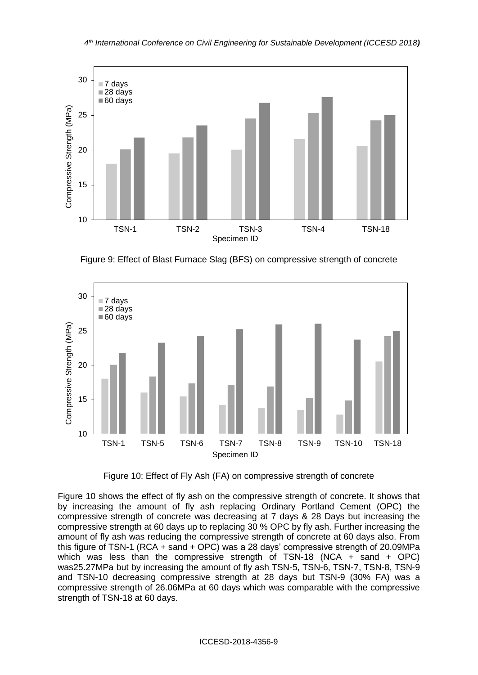

Figure 9: Effect of Blast Furnace Slag (BFS) on compressive strength of concrete



Figure 10: Effect of Fly Ash (FA) on compressive strength of concrete

Figure 10 shows the effect of fly ash on the compressive strength of concrete. It shows that by increasing the amount of fly ash replacing Ordinary Portland Cement (OPC) the compressive strength of concrete was decreasing at 7 days & 28 Days but increasing the compressive strength at 60 days up to replacing 30 % OPC by fly ash. Further increasing the amount of fly ash was reducing the compressive strength of concrete at 60 days also. From this figure of TSN-1 (RCA + sand + OPC) was a 28 days' compressive strength of 20.09MPa which was less than the compressive strength of TSN-18 (NCA  $+$  sand  $+$  OPC) was25.27MPa but by increasing the amount of fly ash TSN-5, TSN-6, TSN-7, TSN-8, TSN-9 and TSN-10 decreasing compressive strength at 28 days but TSN-9 (30% FA) was a compressive strength of 26.06MPa at 60 days which was comparable with the compressive strength of TSN-18 at 60 days.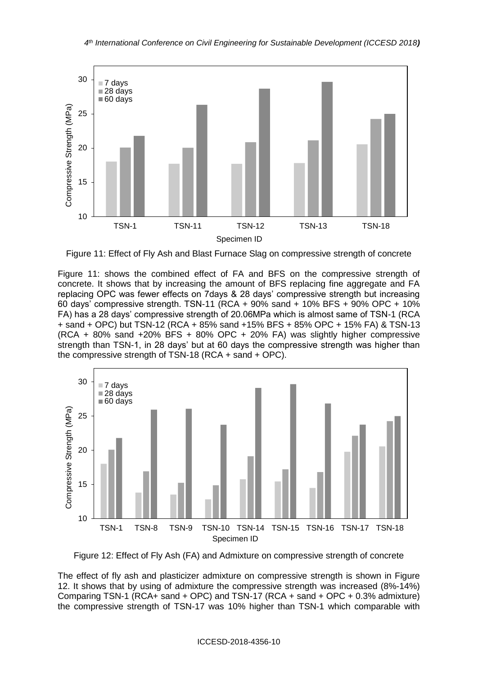

Figure 11: Effect of Fly Ash and Blast Furnace Slag on compressive strength of concrete

Figure 11: shows the combined effect of FA and BFS on the compressive strength of concrete. It shows that by increasing the amount of BFS replacing fine aggregate and FA replacing OPC was fewer effects on 7days & 28 days' compressive strength but increasing 60 days' compressive strength. TSN-11 (RCA + 90% sand + 10% BFS + 90% OPC + 10% FA) has a 28 days' compressive strength of 20.06MPa which is almost same of TSN-1 (RCA + sand + OPC) but TSN-12 (RCA + 85% sand +15% BFS + 85% OPC + 15% FA) & TSN-13 (RCA + 80% sand +20% BFS + 80% OPC + 20% FA) was slightly higher compressive strength than TSN-1, in 28 days' but at 60 days the compressive strength was higher than the compressive strength of TSN-18 (RCA + sand + OPC).



Figure 12: Effect of Fly Ash (FA) and Admixture on compressive strength of concrete

The effect of fly ash and plasticizer admixture on compressive strength is shown in Figure 12. It shows that by using of admixture the compressive strength was increased (8%-14%) Comparing TSN-1 (RCA+ sand + OPC) and TSN-17 (RCA + sand + OPC + 0.3% admixture) the compressive strength of TSN-17 was 10% higher than TSN-1 which comparable with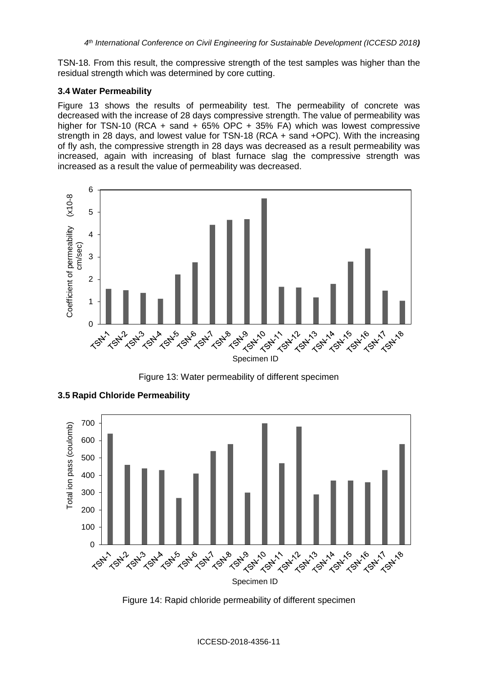TSN-18. From this result, the compressive strength of the test samples was higher than the residual strength which was determined by core cutting.

#### **3.4 Water Permeability**

Figure 13 shows the results of permeability test. The permeability of concrete was decreased with the increase of 28 days compressive strength. The value of permeability was higher for TSN-10 (RCA + sand + 65% OPC + 35% FA) which was lowest compressive strength in 28 days, and lowest value for TSN-18 (RCA + sand +OPC). With the increasing of fly ash, the compressive strength in 28 days was decreased as a result permeability was increased, again with increasing of blast furnace slag the compressive strength was increased as a result the value of permeability was decreased.



Figure 13: Water permeability of different specimen



**3.5 Rapid Chloride Permeability**